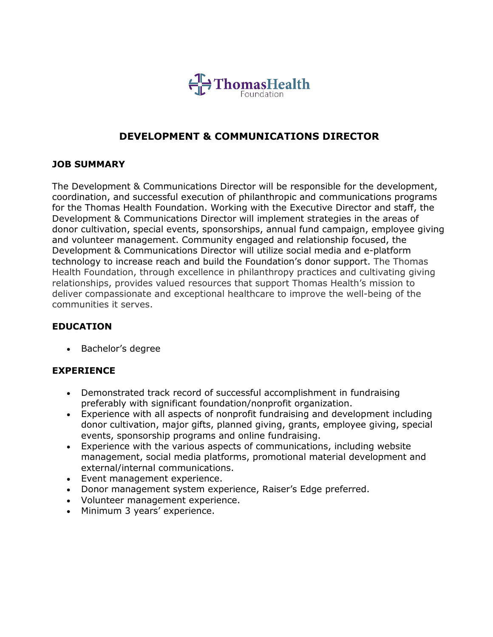

# **DEVELOPMENT & COMMUNICATIONS DIRECTOR**

### **JOB SUMMARY**

The Development & Communications Director will be responsible for the development, coordination, and successful execution of philanthropic and communications programs for the Thomas Health Foundation. Working with the Executive Director and staff, the Development & Communications Director will implement strategies in the areas of donor cultivation, special events, sponsorships, annual fund campaign, employee giving and volunteer management. Community engaged and relationship focused, the Development & Communications Director will utilize social media and e-platform technology to increase reach and build the Foundation's donor support. The Thomas Health Foundation, through excellence in philanthropy practices and cultivating giving relationships, provides valued resources that support Thomas Health's mission to deliver compassionate and exceptional healthcare to improve the well-being of the communities it serves.

### **EDUCATION**

• Bachelor's degree

### **EXPERIENCE**

- Demonstrated track record of successful accomplishment in fundraising preferably with significant foundation/nonprofit organization.
- Experience with all aspects of nonprofit fundraising and development including donor cultivation, major gifts, planned giving, grants, employee giving, special events, sponsorship programs and online fundraising.
- Experience with the various aspects of communications, including website management, social media platforms, promotional material development and external/internal communications.
- Event management experience.
- Donor management system experience, Raiser's Edge preferred.
- Volunteer management experience.
- Minimum 3 years' experience.